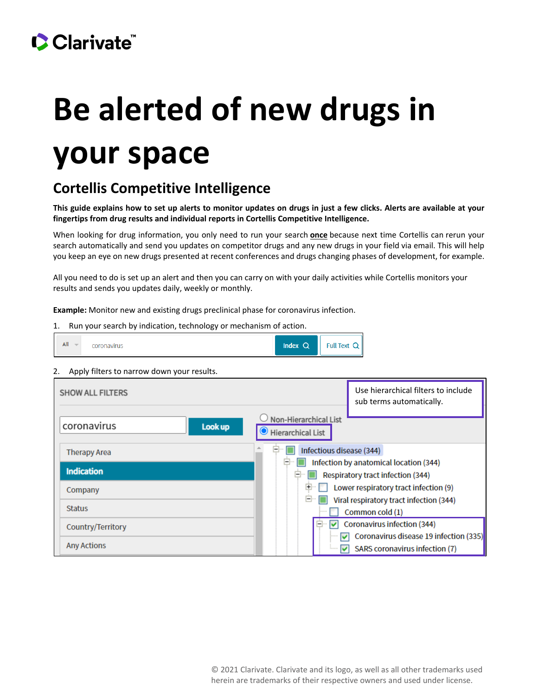## CClarivate

# **Be alerted of new drugs in your space**

#### **Cortellis Competitive Intelligence**

**This guide explains how to set up alerts to monitor updates on drugs in just a few clicks. Alerts are available at your fingertips from drug results and individual reports in Cortellis Competitive Intelligence.**

When looking for drug information, you only need to run your search **once** because next time Cortellis can rerun your search automatically and send you updates on competitor drugs and any new drugs in your field via email. This will help you keep an eye on new drugs presented at recent conferences and drugs changing phases of development, for example.

All you need to do is set up an alert and then you can carry on with your daily activities while Cortellis monitors your results and sends you updates daily, weekly or monthly.

**Example:** Monitor new and existing drugs preclinical phase for coronavirus infection.

1. Run your search by indication, technology or mechanism of action.



2. Apply filters to narrow down your results.

| <b>SHOW ALL FILTERS</b> | Use hierarchical filters to include<br>sub terms automatically. |
|-------------------------|-----------------------------------------------------------------|
| coronavirus<br>Look up  | Non-Hierarchical List<br>Hierarchical List                      |
| <b>Therapy Area</b>     | Infectious disease (344)<br>Ε                                   |
|                         | Infection by anatomical location (344)<br>۰                     |
| <b>Indication</b>       | Respiratory tract infection (344)<br>۲                          |
| Company                 | Lower respiratory tract infection (9)<br>$\pm$                  |
|                         | e<br>Viral respiratory tract infection (344)                    |
| <b>Status</b>           | Common cold (1)                                                 |
| Country/Territory       | Coronavirus infection (344)<br>M<br>$ -$                        |
|                         | Coronavirus disease 19 infection (335)<br>◡                     |
| <b>Any Actions</b>      | SARS coronavirus infection (7)<br>v                             |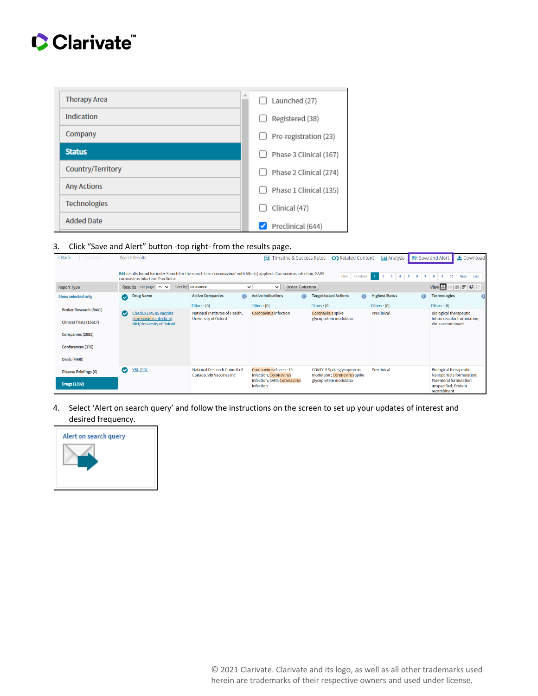### Clarivate

| <b>Therapy Area</b> | Launched (27)          |
|---------------------|------------------------|
| Indication          | Registered (38)        |
| Company             | Pre-registration (23)  |
| <b>Status</b>       | Phase 3 Clinical (167) |
| Country/Territory   | Phase 2 Clinical (274) |
| <b>Any Actions</b>  | Phase 1 Clinical (135) |
| <b>Technologies</b> | Clinical (47)          |
| <b>Added Date</b>   | Preclinical (644)      |

3. Click "Save and Alert" button -top right- from the results page.

| $<$ Back<br>Forward $>$        |                                                                                                                                                                                                                                                                                                                       | <b>Search Results</b>                            |                                                               | $\boxed{\blacksquare}$ Timeline & Success Rates      | <b>CO</b> Related Content                                  | <b>III</b> Analyze    | Save and Alert<br>Le Download                                        |
|--------------------------------|-----------------------------------------------------------------------------------------------------------------------------------------------------------------------------------------------------------------------------------------------------------------------------------------------------------------------|--------------------------------------------------|---------------------------------------------------------------|------------------------------------------------------|------------------------------------------------------------|-----------------------|----------------------------------------------------------------------|
|                                | 644 results found for index Search for the search term 'coronavirus' with filter(s) applied: Coronavirus infection; SARS<br>$\overline{\mathbf{3}}$<br>First<br>Previous<br>$\mathbf{1}$<br>$\overline{2}$<br>$-5$<br>$\tau$<br>6<br>$\bf{8}$<br>9<br>10<br><b>Next</b><br>Last<br>coronavirus infection; Preclinical |                                                  |                                                               |                                                      |                                                            |                       |                                                                      |
| <b>Report Type</b>             |                                                                                                                                                                                                                                                                                                                       | Results Perpage: $25 \times$                     | Sort by: Relevance                                            | <b>Order Columns</b><br>$\checkmark$<br>$\checkmark$ |                                                            |                       | $     $ $\in$ $ $<br>View <sup>HI</sup>                              |
| Show selected only             | $\bullet$                                                                                                                                                                                                                                                                                                             | <b>Drug Name</b>                                 | <b>Active Companies</b><br>$\oplus$                           | <b>Active Indications</b>                            | $^{\tiny{\textregistered}}$<br><b>Target-based Actions</b> | <b>Highest Status</b> | <b>Technologies</b>                                                  |
| <b>Broker Research (8441)</b>  |                                                                                                                                                                                                                                                                                                                       |                                                  | Filters : [0]                                                 | Filters : [0]                                        | Filters : [0]                                              | Filters : [0]         | Filters : [0]                                                        |
|                                | $\bullet$                                                                                                                                                                                                                                                                                                             | ChAdOx1 MERS vaccine<br>(coronavirus infection), | National Institutes of Health:<br><b>University of Oxford</b> | <b>Coronavirus infection</b>                         | Coronavirus spike<br>glycoprotein modulator                | Preclinical           | <b>Biological therapeutic;</b><br>Intramuscular formulation:         |
| <b>Clinical Trials (15617)</b> |                                                                                                                                                                                                                                                                                                                       | <b>NIH/University of Oxford</b>                  |                                                               |                                                      |                                                            |                       | Virus recombinant                                                    |
| Companies (2881)               |                                                                                                                                                                                                                                                                                                                       |                                                  |                                                               |                                                      |                                                            |                       |                                                                      |
| Conferences (376)              |                                                                                                                                                                                                                                                                                                                       |                                                  |                                                               |                                                      |                                                            |                       |                                                                      |
| <b>Deals (4990)</b>            |                                                                                                                                                                                                                                                                                                                       |                                                  |                                                               |                                                      |                                                            |                       |                                                                      |
| <b>Disease Briefings (6)</b>   | $\bullet$                                                                                                                                                                                                                                                                                                             | <b>VBI-2901</b>                                  | National Research Council of<br>Canada: VBI Vaccines Inc      | Coronavirus disease 19<br>infection; Coronavirus     | COVID19 Spike glycoprotein<br>modulator; Coronavirus spike | Preclinical           | <b>Biological therapeutic;</b><br>Nanoparticle formulation;          |
| <b>Drugs (1392)</b>            |                                                                                                                                                                                                                                                                                                                       |                                                  |                                                               | infection; SARS Coronavirus<br>infection             | glycoprotein modulator                                     |                       | <b>Parenteral formulation</b><br>unspecified; Protein<br>recombinant |

4. Select 'Alert on search query' and follow the instructions on the screen to set up your updates of interest and desired frequency.

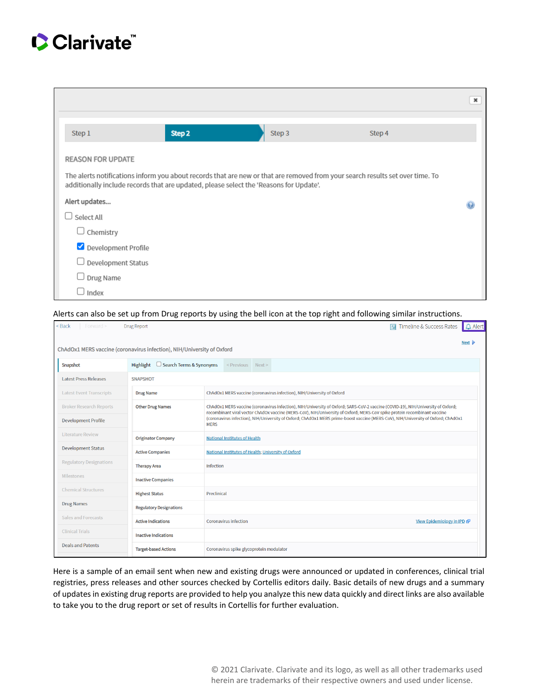#### Clarivate

|                                                                                                                                                                                                                         |        |        |        | $\boldsymbol{\times}$ |  |  |
|-------------------------------------------------------------------------------------------------------------------------------------------------------------------------------------------------------------------------|--------|--------|--------|-----------------------|--|--|
| Step 1                                                                                                                                                                                                                  | Step 2 | Step 3 | Step 4 |                       |  |  |
| <b>REASON FOR UPDATE</b>                                                                                                                                                                                                |        |        |        |                       |  |  |
| The alerts notifications inform you about records that are new or that are removed from your search results set over time. To<br>additionally include records that are updated, please select the 'Reasons for Update'. |        |        |        |                       |  |  |
| Alert updates                                                                                                                                                                                                           |        |        |        |                       |  |  |
| Select All                                                                                                                                                                                                              |        |        |        |                       |  |  |
| $\Box$ Chemistry                                                                                                                                                                                                        |        |        |        |                       |  |  |
| Development Profile                                                                                                                                                                                                     |        |        |        |                       |  |  |
| Development Status                                                                                                                                                                                                      |        |        |        |                       |  |  |
| $\Box$ Drug Name                                                                                                                                                                                                        |        |        |        |                       |  |  |
| Index                                                                                                                                                                                                                   |        |        |        |                       |  |  |

#### Alerts can also be set up from Drug reports by using the bell icon at the top right and following similar instructions.

| <back<br>Forward &gt;</back<br> | <b>Drug Report</b>                                                     |                                                                                                                                                                                                                                                              |                                          |  | Timeline & Success Rates<br>킈 | $\Delta$ Alert |
|---------------------------------|------------------------------------------------------------------------|--------------------------------------------------------------------------------------------------------------------------------------------------------------------------------------------------------------------------------------------------------------|------------------------------------------|--|-------------------------------|----------------|
|                                 | ChAdOx1 MERS vaccine (coronavirus infection), NIH/University of Oxford |                                                                                                                                                                                                                                                              |                                          |  |                               | Next D         |
| Snapshot                        | $\Box$ Search Terms & Synonyms<br>Highlight                            |                                                                                                                                                                                                                                                              | <previous next=""></previous>            |  |                               |                |
| <b>Latest Press Releases</b>    | <b>SNAPSHOT</b>                                                        |                                                                                                                                                                                                                                                              |                                          |  |                               |                |
| <b>Latest Event Transcripts</b> | <b>Drug Name</b>                                                       | ChAdOx1 MERS vaccine (coronavirus infection), NIH/University of Oxford                                                                                                                                                                                       |                                          |  |                               |                |
| <b>Broker Research Reports</b>  | <b>Other Drug Names</b>                                                | ChAdOx1 MERS vaccine (coronavirus infection), NIH/University of Oxford; SARS-CoV-2 vaccine (COVID-19), NIH/University of Oxford;<br>recombinant viral vector ChAdOx vaccine (MERS-CoV), NIH/University of Oxford; MERS-CoV spike protein recombinant vaccine |                                          |  |                               |                |
| <b>Development Profile</b>      |                                                                        | (coronavirus infection), NIH/University of Oxford; ChAdOx1 MERS prime-boost vaccine (MERS-CoV), NIH/University of Oxford; ChAdOx1<br><b>MERS</b>                                                                                                             |                                          |  |                               |                |
| <b>Literature Review</b>        | <b>Originator Company</b>                                              | <b>National Institutes of Health</b>                                                                                                                                                                                                                         |                                          |  |                               |                |
| <b>Development Status</b>       | <b>Active Companies</b>                                                | National Institutes of Health; University of Oxford                                                                                                                                                                                                          |                                          |  |                               |                |
| <b>Regulatory Designations</b>  | <b>Therapy Area</b>                                                    | <b>Infection</b>                                                                                                                                                                                                                                             |                                          |  |                               |                |
| <b>Milestones</b>               | <b>Inactive Companies</b>                                              |                                                                                                                                                                                                                                                              |                                          |  |                               |                |
| <b>Chemical Structures</b>      | <b>Highest Status</b>                                                  | Preclinical                                                                                                                                                                                                                                                  |                                          |  |                               |                |
| <b>Drug Names</b>               | <b>Regulatory Designations</b>                                         |                                                                                                                                                                                                                                                              |                                          |  |                               |                |
| <b>Sales and Forecasts</b>      | <b>Active Indications</b>                                              |                                                                                                                                                                                                                                                              | <b>Coronavirus infection</b>             |  | View Epidemiology in IPD &    |                |
| <b>Clinical Trials</b>          | <b>Inactive Indications</b>                                            |                                                                                                                                                                                                                                                              |                                          |  |                               |                |
| <b>Deals and Patents</b>        | <b>Target-based Actions</b>                                            |                                                                                                                                                                                                                                                              | Coronavirus spike glycoprotein modulator |  |                               |                |

Here is a sample of an email sent when new and existing drugs were announced or updated in conferences, clinical trial registries, press releases and other sources checked by Cortellis editors daily. Basic details of new drugs and a summary of updates in existing drug reports are provided to help you analyze this new data quickly and direct links are also available to take you to the drug report or set of results in Cortellis for further evaluation.